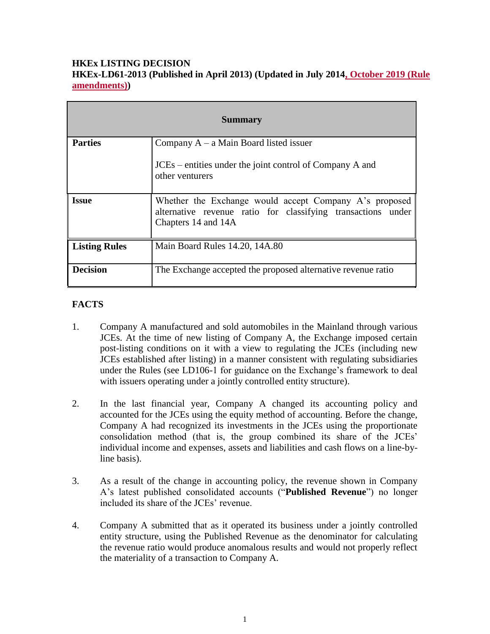### **HKEx LISTING DECISION HKEx-LD61-2013 (Published in April 2013) (Updated in July 2014, October 2019 (Rule amendments))**

| <b>Summary</b>       |                                                                                                                                               |
|----------------------|-----------------------------------------------------------------------------------------------------------------------------------------------|
| <b>Parties</b>       | Company $A - a$ Main Board listed issuer                                                                                                      |
|                      | JCEs – entities under the joint control of Company A and<br>other venturers                                                                   |
| <b>Issue</b>         | Whether the Exchange would accept Company A's proposed<br>alternative revenue ratio for classifying transactions under<br>Chapters 14 and 14A |
| <b>Listing Rules</b> | Main Board Rules 14.20, 14A.80                                                                                                                |
| <b>Decision</b>      | The Exchange accepted the proposed alternative revenue ratio                                                                                  |

# **FACTS**

- 1. Company A manufactured and sold automobiles in the Mainland through various JCEs. At the time of new listing of Company A, the Exchange imposed certain post-listing conditions on it with a view to regulating the JCEs (including new JCEs established after listing) in a manner consistent with regulating subsidiaries under the Rules (see LD106-1 for guidance on the Exchange's framework to deal with issuers operating under a jointly controlled entity structure).
- 2. In the last financial year, Company A changed its accounting policy and accounted for the JCEs using the equity method of accounting. Before the change, Company A had recognized its investments in the JCEs using the proportionate consolidation method (that is, the group combined its share of the JCEs' individual income and expenses, assets and liabilities and cash flows on a line-byline basis).
- 3. As a result of the change in accounting policy, the revenue shown in Company A's latest published consolidated accounts ("**Published Revenue**") no longer included its share of the JCEs' revenue.
- 4. Company A submitted that as it operated its business under a jointly controlled entity structure, using the Published Revenue as the denominator for calculating the revenue ratio would produce anomalous results and would not properly reflect the materiality of a transaction to Company A.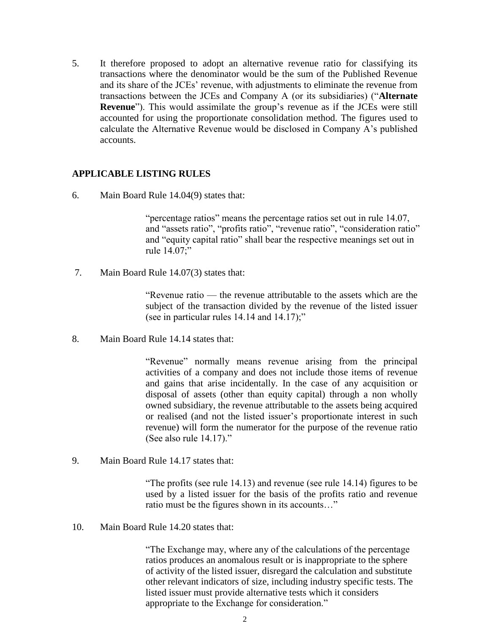5. It therefore proposed to adopt an alternative revenue ratio for classifying its transactions where the denominator would be the sum of the Published Revenue and its share of the JCEs' revenue, with adjustments to eliminate the revenue from transactions between the JCEs and Company A (or its subsidiaries) ("**Alternate Revenue**"). This would assimilate the group's revenue as if the JCEs were still accounted for using the proportionate consolidation method. The figures used to calculate the Alternative Revenue would be disclosed in Company A's published accounts.

#### **APPLICABLE LISTING RULES**

6. Main Board Rule 14.04(9) states that:

"percentage ratios" means the percentage ratios set out in rule 14.07, and "assets ratio", "profits ratio", "revenue ratio", "consideration ratio" and "equity capital ratio" shall bear the respective meanings set out in rule 14.07;"

7. Main Board Rule 14.07(3) states that:

"Revenue ratio — the revenue attributable to the assets which are the subject of the transaction divided by the revenue of the listed issuer (see in particular rules 14.14 and 14.17);"

8. Main Board Rule 14.14 states that:

"Revenue" normally means revenue arising from the principal activities of a company and does not include those items of revenue and gains that arise incidentally. In the case of any acquisition or disposal of assets (other than equity capital) through a non wholly owned subsidiary, the revenue attributable to the assets being acquired or realised (and not the listed issuer's proportionate interest in such revenue) will form the numerator for the purpose of the revenue ratio (See also rule 14.17)."

9. Main Board Rule 14.17 states that:

"The profits (see rule 14.13) and revenue (see rule 14.14) figures to be used by a listed issuer for the basis of the profits ratio and revenue ratio must be the figures shown in its accounts…"

10. Main Board Rule 14.20 states that:

"The Exchange may, where any of the calculations of the percentage ratios produces an anomalous result or is inappropriate to the sphere of activity of the listed issuer, disregard the calculation and substitute other relevant indicators of size, including industry specific tests. The listed issuer must provide alternative tests which it considers appropriate to the Exchange for consideration."